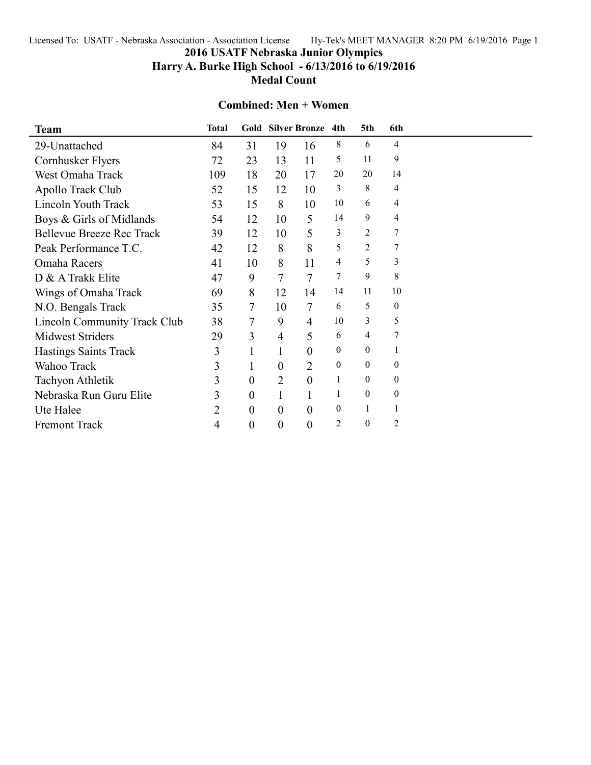Licensed To: USATF - Nebraska Association - Association License Hy-Tek's MEET MANAGER 8:20 PM 6/19/2016 Page 1

# **2016 USATF Nebraska Junior Olympics**

# **Harry A. Burke High School - 6/13/2016 to 6/19/2016**

**Medal Count**

#### **Combined: Men + Women**

| <b>Team</b>                         | <b>Total</b> |                  |                  | Gold Silver Bronze 4th |                  | 5th              | 6th            |  |
|-------------------------------------|--------------|------------------|------------------|------------------------|------------------|------------------|----------------|--|
| 29-Unattached                       | 84           | 31               | 19               | 16                     | 8                | 6                | 4              |  |
| Cornhusker Flyers                   | 72           | 23               | 13               | 11                     | 5                | 11               | 9              |  |
| West Omaha Track                    | 109          | 18               | 20               | 17                     | 20               | 20               | 14             |  |
| Apollo Track Club                   | 52           | 15               | 12               | 10                     | 3                | 8                | 4              |  |
| Lincoln Youth Track                 | 53           | 15               | 8                | 10                     | 10               | 6                | 4              |  |
| Boys & Girls of Midlands            | 54           | 12               | 10               | 5                      | 14               | 9                | $\overline{4}$ |  |
| <b>Bellevue Breeze Rec Track</b>    | 39           | 12               | 10               | 5                      | 3                | $\overline{2}$   | 7              |  |
| Peak Performance T.C.               | 42           | 12               | 8                | 8                      | 5                | 2                | 7              |  |
| Omaha Racers                        | 41           | 10               | 8                | 11                     | 4                | 5                | 3              |  |
| D & A Trakk Elite                   | 47           | 9                | 7                | 7                      | 7                | 9                | 8              |  |
| Wings of Omaha Track                | 69           | 8                | 12               | 14                     | 14               | 11               | 10             |  |
| N.O. Bengals Track                  | 35           | 7                | 10               | $\overline{7}$         | 6                | 5                | $\mathbf{0}$   |  |
| <b>Lincoln Community Track Club</b> | 38           | 7                | 9                | $\overline{4}$         | 10               | 3                | 5              |  |
| <b>Midwest Striders</b>             | 29           | 3                | $\overline{4}$   | 5                      | 6                | 4                |                |  |
| <b>Hastings Saints Track</b>        | 3            | 1                | 1                | 0                      | $\mathbf{0}$     | $\Omega$         |                |  |
| Wahoo Track                         | 3            |                  | $\theta$         | $\overline{2}$         | $\boldsymbol{0}$ | $\mathbf{0}$     | $\mathbf{0}$   |  |
| Tachyon Athletik                    | 3            | $\boldsymbol{0}$ | 2                | $\overline{0}$         | 1                | $\Omega$         | $\theta$       |  |
| Nebraska Run Guru Elite             | 3            | $\boldsymbol{0}$ | 1                |                        | 1                | $\mathbf{0}$     | $\mathbf{0}$   |  |
| Ute Halee                           | 2            | $\boldsymbol{0}$ | $\boldsymbol{0}$ | $\theta$               | $\mathbf{0}$     | 1                |                |  |
| Fremont Track                       | 4            | $\boldsymbol{0}$ | $\boldsymbol{0}$ | $\boldsymbol{0}$       | $\overline{2}$   | $\boldsymbol{0}$ | $\overline{c}$ |  |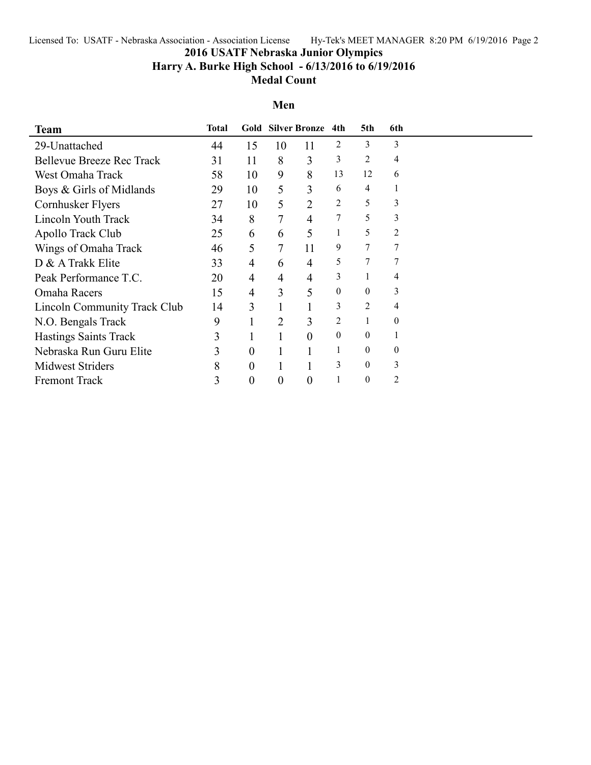Licensed To: USATF - Nebraska Association - Association License Hy-Tek's MEET MANAGER 8:20 PM 6/19/2016 Page 2

**2016 USATF Nebraska Junior Olympics**

## **Harry A. Burke High School - 6/13/2016 to 6/19/2016**

### **Medal Count**

### **Men**

| <b>Team</b>                      | Total |                  |                | <b>Gold Silver Bronze</b> | 4th          | 5th            | 6th      |  |
|----------------------------------|-------|------------------|----------------|---------------------------|--------------|----------------|----------|--|
| 29-Unattached                    | 44    | 15               | 10             | 11                        | 2            | 3              | 3        |  |
| <b>Bellevue Breeze Rec Track</b> | 31    | 11               | 8              | 3                         | 3            | 2              | 4        |  |
| West Omaha Track                 | 58    | 10               | 9              | 8                         | 13           | 12             | 6        |  |
| Boys & Girls of Midlands         | 29    | 10               | 5              | 3                         | 6            | $\overline{4}$ |          |  |
| Cornhusker Flyers                | 27    | 10               | 5              | $\overline{2}$            | 2            | 5              | 3        |  |
| Lincoln Youth Track              | 34    | 8                | 7              | 4                         | 7            | 5              | 3        |  |
| Apollo Track Club                | 25    | 6                | 6              | 5                         | $\mathbf{1}$ | 5              | 2        |  |
| Wings of Omaha Track             | 46    | 5                | $\tau$         | 11                        | 9            | 7              | 7        |  |
| D & A Trakk Elite                | 33    | $\overline{4}$   | 6              | 4                         | 5            | 7              | 7        |  |
| Peak Performance T.C.            | 20    | 4                | 4              | $\overline{4}$            | 3            |                | 4        |  |
| Omaha Racers                     | 15    | 4                | $\overline{3}$ | 5                         | $\theta$     | $\theta$       | 3        |  |
| Lincoln Community Track Club     | 14    | 3                |                |                           | 3            | 2              | 4        |  |
| N.O. Bengals Track               | 9     | 1                | $\overline{2}$ | 3                         | 2            |                | $\theta$ |  |
| <b>Hastings Saints Track</b>     | 3     | 1                |                | $\theta$                  | $\Omega$     | $\theta$       |          |  |
| Nebraska Run Guru Elite          | 3     | $\overline{0}$   |                |                           |              | $\theta$       | $\theta$ |  |
| <b>Midwest Striders</b>          | 8     | $\overline{0}$   |                |                           | 3            | $\Omega$       | 3        |  |
| <b>Fremont Track</b>             | 3     | $\boldsymbol{0}$ | 0              | 0                         |              | $\theta$       | 2        |  |